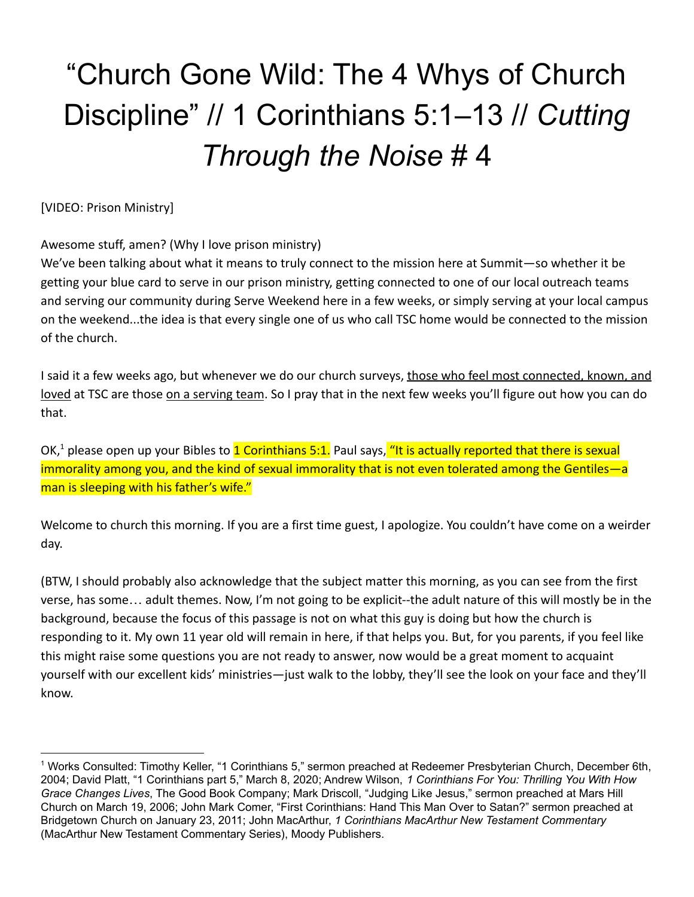# "Church Gone Wild: The 4 Whys of Church Discipline" // 1 Corinthians 5:1–13 // *Cutting Through the Noise* # 4

[VIDEO: Prison Ministry]

Awesome stuff, amen? (Why I love prison ministry)

We've been talking about what it means to truly connect to the mission here at Summit—so whether it be getting your blue card to serve in our prison ministry, getting connected to one of our local outreach teams and serving our community during Serve Weekend here in a few weeks, or simply serving at your local campus on the weekend...the idea is that every single one of us who call TSC home would be connected to the mission of the church.

I said it a few weeks ago, but whenever we do our church surveys, those who feel most connected, known, and loved at TSC are those on a serving team. So I pray that in the next few weeks you'll figure out how you can do that.

OK, $^1$  please open up your Bibles to  $1$  Corinthians 5:1. Paul says, "It is actually reported that there is sexual immorality among you, and the kind of sexual immorality that is not even tolerated among the Gentiles—a man is sleeping with his father's wife."

Welcome to church this morning. If you are a first time guest, I apologize. You couldn't have come on a weirder day.

(BTW, I should probably also acknowledge that the subject matter this morning, as you can see from the first verse, has some… adult themes. Now, I'm not going to be explicit--the adult nature of this will mostly be in the background, because the focus of this passage is not on what this guy is doing but how the church is responding to it. My own 11 year old will remain in here, if that helps you. But, for you parents, if you feel like this might raise some questions you are not ready to answer, now would be a great moment to acquaint yourself with our excellent kids' ministries—just walk to the lobby, they'll see the look on your face and they'll know.

<sup>&</sup>lt;sup>1</sup> Works Consulted: Timothy Keller, "1 Corinthians 5," sermon preached at Redeemer Presbyterian Church, December 6th, 2004; David Platt, "1 Corinthians part 5," March 8, 2020; Andrew Wilson, *1 Corinthians For You: Thrilling You With How Grace Changes Lives*, The Good Book Company; Mark Driscoll, "Judging Like Jesus," sermon preached at Mars Hill Church on March 19, 2006; John Mark Comer, "First Corinthians: Hand This Man Over to Satan?" sermon preached at Bridgetown Church on January 23, 2011; John MacArthur, *1 Corinthians MacArthur New Testament Commentary* (MacArthur New Testament Commentary Series), Moody Publishers.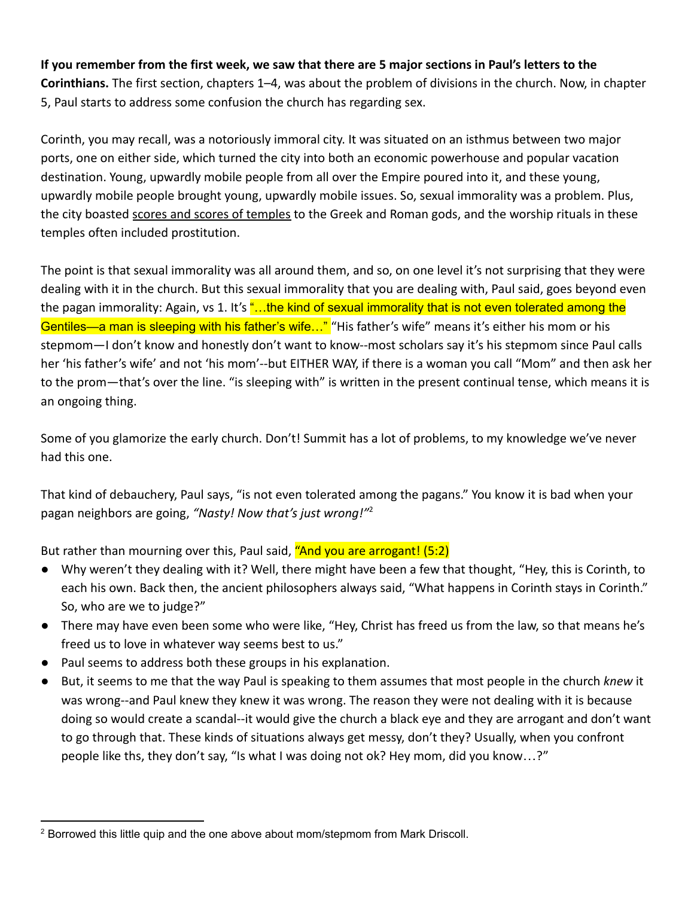**If you remember from the first week, we saw that there are 5 major sections in Paul's letters to the Corinthians.** The first section, chapters 1–4, was about the problem of divisions in the church. Now, in chapter 5, Paul starts to address some confusion the church has regarding sex.

Corinth, you may recall, was a notoriously immoral city. It was situated on an isthmus between two major ports, one on either side, which turned the city into both an economic powerhouse and popular vacation destination. Young, upwardly mobile people from all over the Empire poured into it, and these young, upwardly mobile people brought young, upwardly mobile issues. So, sexual immorality was a problem. Plus, the city boasted scores and scores of temples to the Greek and Roman gods, and the worship rituals in these temples often included prostitution.

The point is that sexual immorality was all around them, and so, on one level it's not surprising that they were dealing with it in the church. But this sexual immorality that you are dealing with, Paul said, goes beyond even the pagan immorality: Again, vs 1. It's "...the kind of sexual immorality that is not even tolerated among the Gentiles—a man is sleeping with his father's wife..." "His father's wife" means it's either his mom or his stepmom—I don't know and honestly don't want to know--most scholars say it's his stepmom since Paul calls her 'his father's wife' and not 'his mom'--but EITHER WAY, if there is a woman you call "Mom" and then ask her to the prom—that's over the line. "is sleeping with" is written in the present continual tense, which means it is an ongoing thing.

Some of you glamorize the early church. Don't! Summit has a lot of problems, to my knowledge we've never had this one.

That kind of debauchery, Paul says, "is not even tolerated among the pagans." You know it is bad when your pagan neighbors are going, *"Nasty! Now that's just wrong!"*<sup>2</sup>

But rather than mourning over this, Paul said, "And you are arrogant! (5:2)

- Why weren't they dealing with it? Well, there might have been a few that thought, "Hey, this is Corinth, to each his own. Back then, the ancient philosophers always said, "What happens in Corinth stays in Corinth." So, who are we to judge?"
- There may have even been some who were like, "Hey, Christ has freed us from the law, so that means he's freed us to love in whatever way seems best to us."
- Paul seems to address both these groups in his explanation.
- But, it seems to me that the way Paul is speaking to them assumes that most people in the church *knew* it was wrong--and Paul knew they knew it was wrong. The reason they were not dealing with it is because doing so would create a scandal--it would give the church a black eye and they are arrogant and don't want to go through that. These kinds of situations always get messy, don't they? Usually, when you confront people like ths, they don't say, "Is what I was doing not ok? Hey mom, did you know…?"

<sup>&</sup>lt;sup>2</sup> Borrowed this little quip and the one above about mom/stepmom from Mark Driscoll.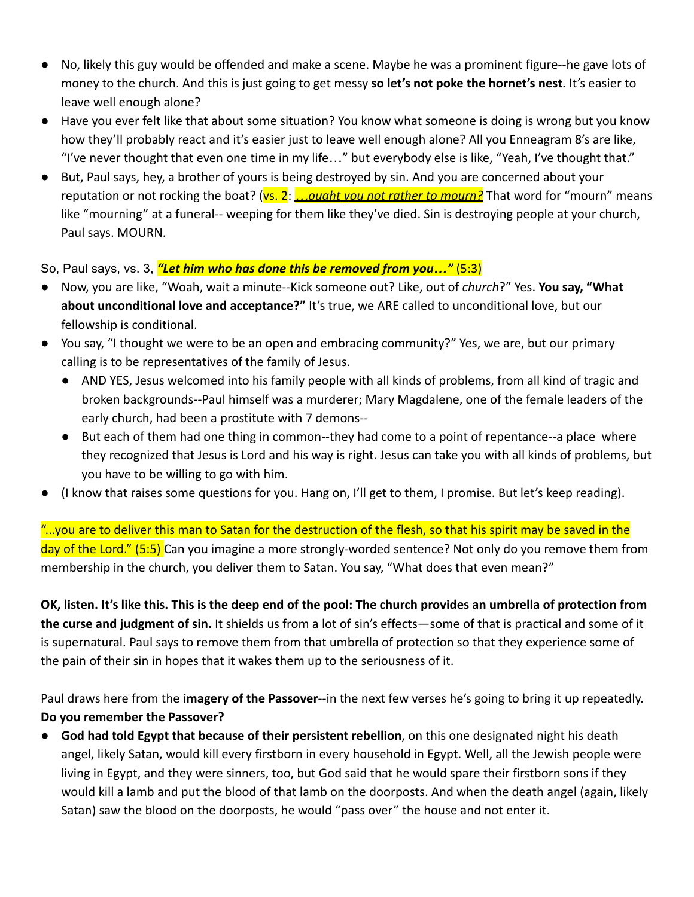- No, likely this guy would be offended and make a scene. Maybe he was a prominent figure--he gave lots of money to the church. And this is just going to get messy **so let's not poke the hornet's nest**. It's easier to leave well enough alone?
- Have you ever felt like that about some situation? You know what someone is doing is wrong but you know how they'll probably react and it's easier just to leave well enough alone? All you Enneagram 8's are like, "I've never thought that even one time in my life…" but everybody else is like, "Yeah, I've thought that."
- But, Paul says, hey, a brother of yours is being destroyed by sin. And you are concerned about your reputation or not rocking the boat? (vs. 2: *…ought you not rather to mourn?* That word for "mourn" means like "mourning" at a funeral-- weeping for them like they've died. Sin is destroying people at your church, Paul says. MOURN.

So, Paul says, vs. 3, *"Let him who has done this be removed from you…"* (5:3)

- Now, you are like, "Woah, wait a minute--Kick someone out? Like, out of *church*?" Yes. **You say, "What about unconditional love and acceptance?"** It's true, we ARE called to unconditional love, but our fellowship is conditional.
- You say, "I thought we were to be an open and embracing community?" Yes, we are, but our primary calling is to be representatives of the family of Jesus.
	- AND YES, Jesus welcomed into his family people with all kinds of problems, from all kind of tragic and broken backgrounds--Paul himself was a murderer; Mary Magdalene, one of the female leaders of the early church, had been a prostitute with 7 demons--
	- But each of them had one thing in common--they had come to a point of repentance--a place where they recognized that Jesus is Lord and his way is right. Jesus can take you with all kinds of problems, but you have to be willing to go with him.
- (I know that raises some questions for you. Hang on, I'll get to them, I promise. But let's keep reading).

"...you are to deliver this man to Satan for the destruction of the flesh, so that his spirit may be saved in the day of the Lord." (5:5) Can you imagine a more strongly-worded sentence? Not only do you remove them from membership in the church, you deliver them to Satan. You say, "What does that even mean?"

**OK, listen. It's like this. This is the deep end of the pool: The church provides an umbrella of protection from the curse and judgment of sin.** It shields us from a lot of sin's effects—some of that is practical and some of it is supernatural. Paul says to remove them from that umbrella of protection so that they experience some of the pain of their sin in hopes that it wakes them up to the seriousness of it.

Paul draws here from the **imagery of the Passover**--in the next few verses he's going to bring it up repeatedly. **Do you remember the Passover?**

● **God had told Egypt that because of their persistent rebellion**, on this one designated night his death angel, likely Satan, would kill every firstborn in every household in Egypt. Well, all the Jewish people were living in Egypt, and they were sinners, too, but God said that he would spare their firstborn sons if they would kill a lamb and put the blood of that lamb on the doorposts. And when the death angel (again, likely Satan) saw the blood on the doorposts, he would "pass over" the house and not enter it.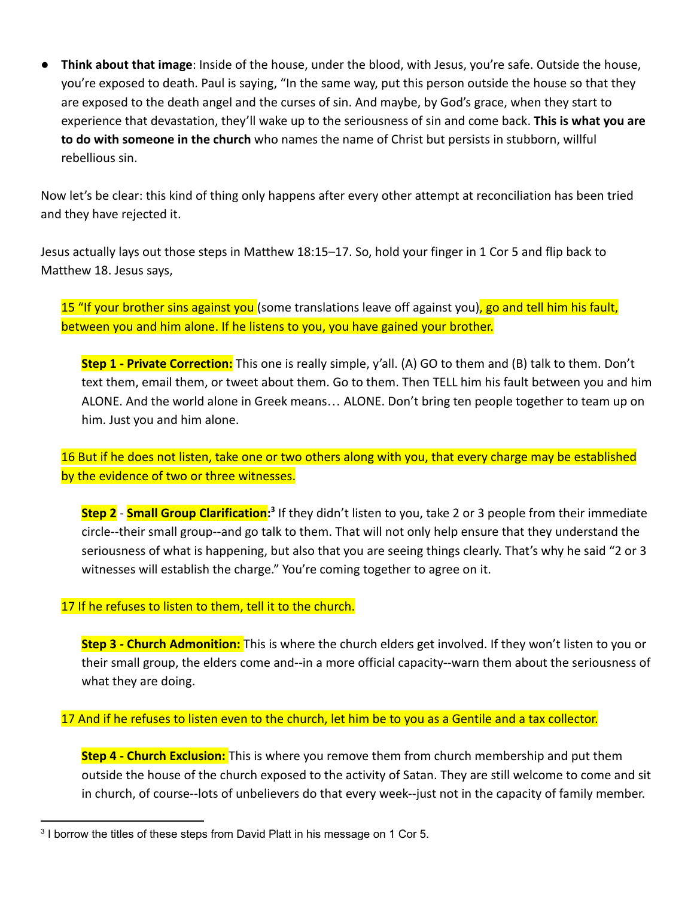● **Think about that image**: Inside of the house, under the blood, with Jesus, you're safe. Outside the house, you're exposed to death. Paul is saying, "In the same way, put this person outside the house so that they are exposed to the death angel and the curses of sin. And maybe, by God's grace, when they start to experience that devastation, they'll wake up to the seriousness of sin and come back. **This is what you are to do with someone in the church** who names the name of Christ but persists in stubborn, willful rebellious sin.

Now let's be clear: this kind of thing only happens after every other attempt at reconciliation has been tried and they have rejected it.

Jesus actually lays out those steps in Matthew 18:15–17. So, hold your finger in 1 Cor 5 and flip back to Matthew 18. Jesus says,

15 "If your brother sins against you (some translations leave off against you), go and tell him his fault, between you and him alone. If he listens to you, you have gained your brother.

**Step 1 - Private Correction:** This one is really simple, y'all. (A) GO to them and (B) talk to them. Don't text them, email them, or tweet about them. Go to them. Then TELL him his fault between you and him ALONE. And the world alone in Greek means… ALONE. Don't bring ten people together to team up on him. Just you and him alone.

16 But if he does not listen, take one or two others along with you, that every charge may be established by the evidence of two or three witnesses.

**Step 2** - **Small Group Clarification:** If they didn't listen to you, take 2 or 3 people from their immediate **3** circle--their small group--and go talk to them. That will not only help ensure that they understand the seriousness of what is happening, but also that you are seeing things clearly. That's why he said "2 or 3 witnesses will establish the charge." You're coming together to agree on it.

#### 17 If he refuses to listen to them, tell it to the church.

**Step 3 - Church Admonition:** This is where the church elders get involved. If they won't listen to you or their small group, the elders come and--in a more official capacity--warn them about the seriousness of what they are doing.

#### 17 And if he refuses to listen even to the church, let him be to you as a Gentile and a tax collector.

**Step 4 - Church Exclusion:** This is where you remove them from church membership and put them outside the house of the church exposed to the activity of Satan. They are still welcome to come and sit in church, of course--lots of unbelievers do that every week--just not in the capacity of family member.

 $3$  I borrow the titles of these steps from David Platt in his message on 1 Cor 5.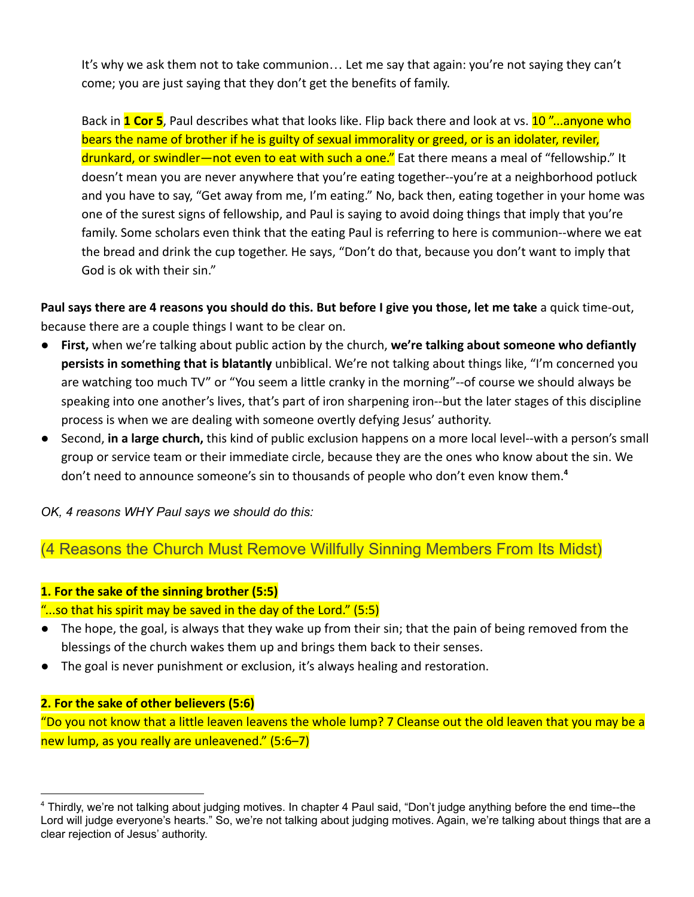It's why we ask them not to take communion… Let me say that again: you're not saying they can't come; you are just saying that they don't get the benefits of family.

Back in **1 Cor 5**, Paul describes what that looks like. Flip back there and look at vs. 10 "...anyone who bears the name of brother if he is guilty of sexual immorality or greed, or is an idolater, reviler, drunkard, or swindler—not even to eat with such a one." Eat there means a meal of "fellowship." It doesn't mean you are never anywhere that you're eating together--you're at a neighborhood potluck and you have to say, "Get away from me, I'm eating." No, back then, eating together in your home was one of the surest signs of fellowship, and Paul is saying to avoid doing things that imply that you're family. Some scholars even think that the eating Paul is referring to here is communion--where we eat the bread and drink the cup together. He says, "Don't do that, because you don't want to imply that God is ok with their sin."

**Paul says there are 4 reasons you should do this. But before I give you those, let me take** a quick time-out, because there are a couple things I want to be clear on.

- **First,** when we're talking about public action by the church, **we're talking about someone who defiantly persists in something that is blatantly** unbiblical. We're not talking about things like, "I'm concerned you are watching too much TV" or "You seem a little cranky in the morning"--of course we should always be speaking into one another's lives, that's part of iron sharpening iron--but the later stages of this discipline process is when we are dealing with someone overtly defying Jesus' authority.
- Second, **in a large church,** this kind of public exclusion happens on a more local level--with a person's small group or service team or their immediate circle, because they are the ones who know about the sin. We don't need to announce someone's sin to thousands of people who don't even know them.**<sup>4</sup>**

*OK, 4 reasons WHY Paul says we should do this:*

## (4 Reasons the Church Must Remove Willfully Sinning Members From Its Midst)

## **1. For the sake of the sinning brother (5:5)**

"...so that his spirit may be saved in the day of the Lord." (5:5)

- The hope, the goal, is always that they wake up from their sin; that the pain of being removed from the blessings of the church wakes them up and brings them back to their senses.
- The goal is never punishment or exclusion, it's always healing and restoration.

## **2. For the sake of other believers (5:6)**

"Do you not know that a little leaven leavens the whole lump? 7 Cleanse out the old leaven that you may be a new lump, as you really are unleavened." (5:6–7)

<sup>4</sup> Thirdly, we're not talking about judging motives. In chapter 4 Paul said, "Don't judge anything before the end time--the Lord will judge everyone's hearts." So, we're not talking about judging motives. Again, we're talking about things that are a clear rejection of Jesus' authority.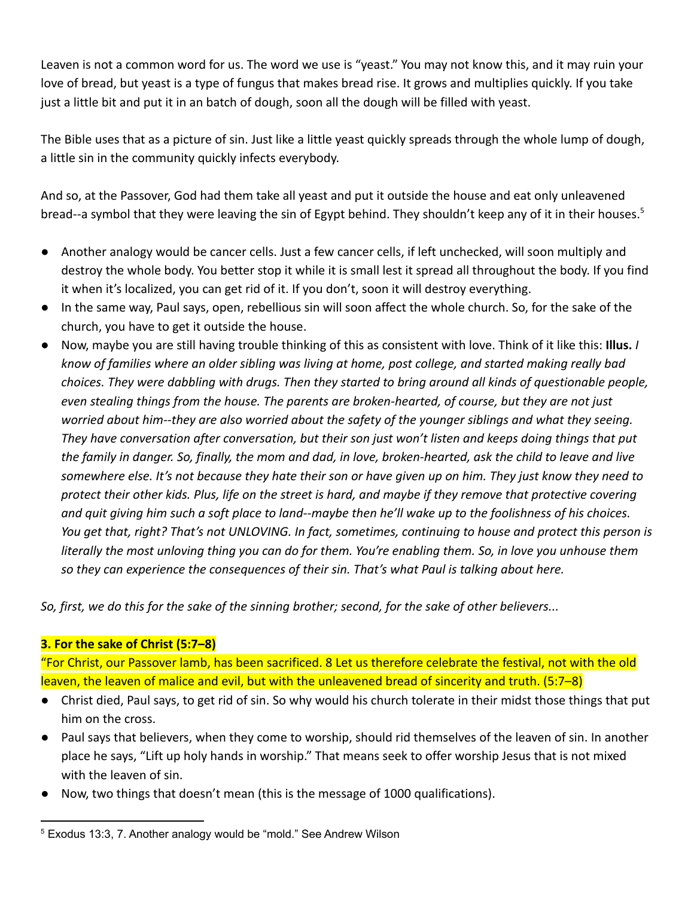Leaven is not a common word for us. The word we use is "yeast." You may not know this, and it may ruin your love of bread, but yeast is a type of fungus that makes bread rise. It grows and multiplies quickly. If you take just a little bit and put it in an batch of dough, soon all the dough will be filled with yeast.

The Bible uses that as a picture of sin. Just like a little yeast quickly spreads through the whole lump of dough, a little sin in the community quickly infects everybody.

And so, at the Passover, God had them take all yeast and put it outside the house and eat only unleavened bread--a symbol that they were leaving the sin of Egypt behind. They shouldn't keep any of it in their houses.<sup>5</sup>

- Another analogy would be cancer cells. Just a few cancer cells, if left unchecked, will soon multiply and destroy the whole body. You better stop it while it is small lest it spread all throughout the body. If you find it when it's localized, you can get rid of it. If you don't, soon it will destroy everything.
- In the same way, Paul says, open, rebellious sin will soon affect the whole church. So, for the sake of the church, you have to get it outside the house.
- Now, maybe you are still having trouble thinking of this as consistent with love. Think of it like this: **Illus.** *I know of families where an older sibling was living at home, post college, and started making really bad choices. They were dabbling with drugs. Then they started to bring around all kinds of questionable people, even stealing things from the house. The parents are broken-hearted, of course, but they are not just worried about him--they are also worried about the safety of the younger siblings and what they seeing. They have conversation after conversation, but their son just won't listen and keeps doing things that put the family in danger. So, finally, the mom and dad, in love, broken-hearted, ask the child to leave and live somewhere else. It's not because they hate their son or have given up on him. They just know they need to protect their other kids. Plus, life on the street is hard, and maybe if they remove that protective covering and quit giving him such a soft place to land--maybe then he'll wake up to the foolishness of his choices. You get that, right? That's not UNLOVING. In fact, sometimes, continuing to house and protect this person is literally the most unloving thing you can do for them. You're enabling them. So, in love you unhouse them so they can experience the consequences of their sin. That's what Paul is talking about here.*

*So, first, we do this for the sake of the sinning brother; second, for the sake of other believers...*

## **3. For the sake of Christ (5:7–8)**

"For Christ, our Passover lamb, has been sacrificed. 8 Let us therefore celebrate the festival, not with the old leaven, the leaven of malice and evil, but with the unleavened bread of sincerity and truth. (5:7–8)

- Christ died, Paul says, to get rid of sin. So why would his church tolerate in their midst those things that put him on the cross.
- Paul says that believers, when they come to worship, should rid themselves of the leaven of sin. In another place he says, "Lift up holy hands in worship." That means seek to offer worship Jesus that is not mixed with the leaven of sin.
- Now, two things that doesn't mean (this is the message of 1000 qualifications).

<sup>&</sup>lt;sup>5</sup> Exodus 13:3, 7. Another analogy would be "mold." See Andrew Wilson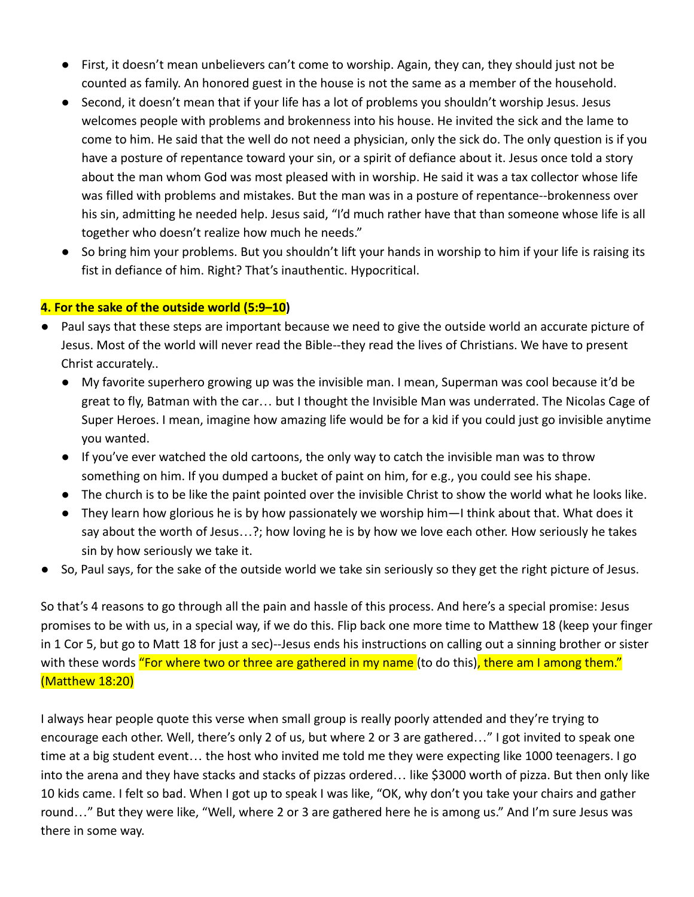- First, it doesn't mean unbelievers can't come to worship. Again, they can, they should just not be counted as family. An honored guest in the house is not the same as a member of the household.
- Second, it doesn't mean that if your life has a lot of problems you shouldn't worship Jesus. Jesus welcomes people with problems and brokenness into his house. He invited the sick and the lame to come to him. He said that the well do not need a physician, only the sick do. The only question is if you have a posture of repentance toward your sin, or a spirit of defiance about it. Jesus once told a story about the man whom God was most pleased with in worship. He said it was a tax collector whose life was filled with problems and mistakes. But the man was in a posture of repentance--brokenness over his sin, admitting he needed help. Jesus said, "I'd much rather have that than someone whose life is all together who doesn't realize how much he needs."
- So bring him your problems. But you shouldn't lift your hands in worship to him if your life is raising its fist in defiance of him. Right? That's inauthentic. Hypocritical.

#### **4. For the sake of the outside world (5:9–10)**

- Paul says that these steps are important because we need to give the outside world an accurate picture of Jesus. Most of the world will never read the Bible--they read the lives of Christians. We have to present Christ accurately..
	- My favorite superhero growing up was the invisible man. I mean, Superman was cool because it'd be great to fly, Batman with the car… but I thought the Invisible Man was underrated. The Nicolas Cage of Super Heroes. I mean, imagine how amazing life would be for a kid if you could just go invisible anytime you wanted.
	- If you've ever watched the old cartoons, the only way to catch the invisible man was to throw something on him. If you dumped a bucket of paint on him, for e.g., you could see his shape.
	- The church is to be like the paint pointed over the invisible Christ to show the world what he looks like.
	- They learn how glorious he is by how passionately we worship him—I think about that. What does it say about the worth of Jesus…?; how loving he is by how we love each other. How seriously he takes sin by how seriously we take it.
- So, Paul says, for the sake of the outside world we take sin seriously so they get the right picture of Jesus.

So that's 4 reasons to go through all the pain and hassle of this process. And here's a special promise: Jesus promises to be with us, in a special way, if we do this. Flip back one more time to Matthew 18 (keep your finger in 1 Cor 5, but go to Matt 18 for just a sec)--Jesus ends his instructions on calling out a sinning brother or sister with these words "For where two or three are gathered in my name (to do this), there am I among them." (Matthew 18:20)

I always hear people quote this verse when small group is really poorly attended and they're trying to encourage each other. Well, there's only 2 of us, but where 2 or 3 are gathered…" I got invited to speak one time at a big student event… the host who invited me told me they were expecting like 1000 teenagers. I go into the arena and they have stacks and stacks of pizzas ordered… like \$3000 worth of pizza. But then only like 10 kids came. I felt so bad. When I got up to speak I was like, "OK, why don't you take your chairs and gather round…" But they were like, "Well, where 2 or 3 are gathered here he is among us." And I'm sure Jesus was there in some way.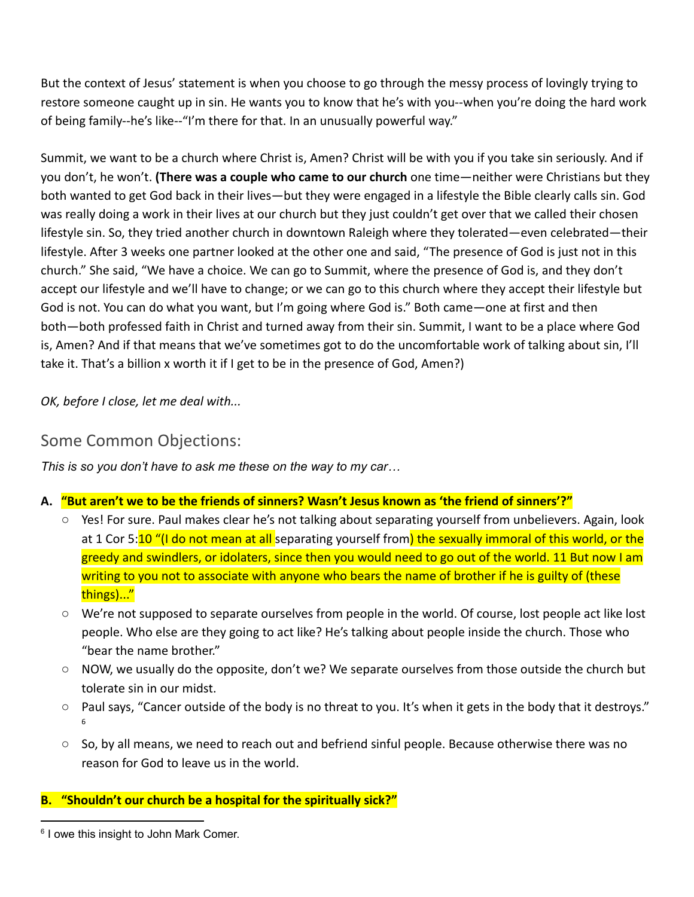But the context of Jesus' statement is when you choose to go through the messy process of lovingly trying to restore someone caught up in sin. He wants you to know that he's with you--when you're doing the hard work of being family--he's like--"I'm there for that. In an unusually powerful way."

Summit, we want to be a church where Christ is, Amen? Christ will be with you if you take sin seriously. And if you don't, he won't. **(There was a couple who came to our church** one time—neither were Christians but they both wanted to get God back in their lives—but they were engaged in a lifestyle the Bible clearly calls sin. God was really doing a work in their lives at our church but they just couldn't get over that we called their chosen lifestyle sin. So, they tried another church in downtown Raleigh where they tolerated—even celebrated—their lifestyle. After 3 weeks one partner looked at the other one and said, "The presence of God is just not in this church." She said, "We have a choice. We can go to Summit, where the presence of God is, and they don't accept our lifestyle and we'll have to change; or we can go to this church where they accept their lifestyle but God is not. You can do what you want, but I'm going where God is." Both came—one at first and then both—both professed faith in Christ and turned away from their sin. Summit, I want to be a place where God is, Amen? And if that means that we've sometimes got to do the uncomfortable work of talking about sin, I'll take it. That's a billion x worth it if I get to be in the presence of God, Amen?)

*OK, before I close, let me deal with...*

# Some Common Objections:

*This is so you don't have to ask me these on the way to my car…*

- **A. "But aren't we to be the friends of sinners? Wasn't Jesus known as 'the friend of sinners'?"**
	- Yes! For sure. Paul makes clear he's not talking about separating yourself from unbelievers. Again, look at 1 Cor 5:10 "(I do not mean at all separating yourself from) the sexually immoral of this world, or the greedy and swindlers, or idolaters, since then you would need to go out of the world. 11 But now I am writing to you not to associate with anyone who bears the name of brother if he is guilty of (these things)..."
	- We're not supposed to separate ourselves from people in the world. Of course, lost people act like lost people. Who else are they going to act like? He's talking about people inside the church. Those who "bear the name brother."
	- $\circ$  NOW, we usually do the opposite, don't we? We separate ourselves from those outside the church but tolerate sin in our midst.
	- Paul says, "Cancer outside of the body is no threat to you. It's when it gets in the body that it destroys." 6
	- $\circ$  So, by all means, we need to reach out and befriend sinful people. Because otherwise there was no reason for God to leave us in the world.

## **B. "Shouldn't our church be a hospital for the spiritually sick?"**

<sup>&</sup>lt;sup>6</sup> I owe this insight to John Mark Comer.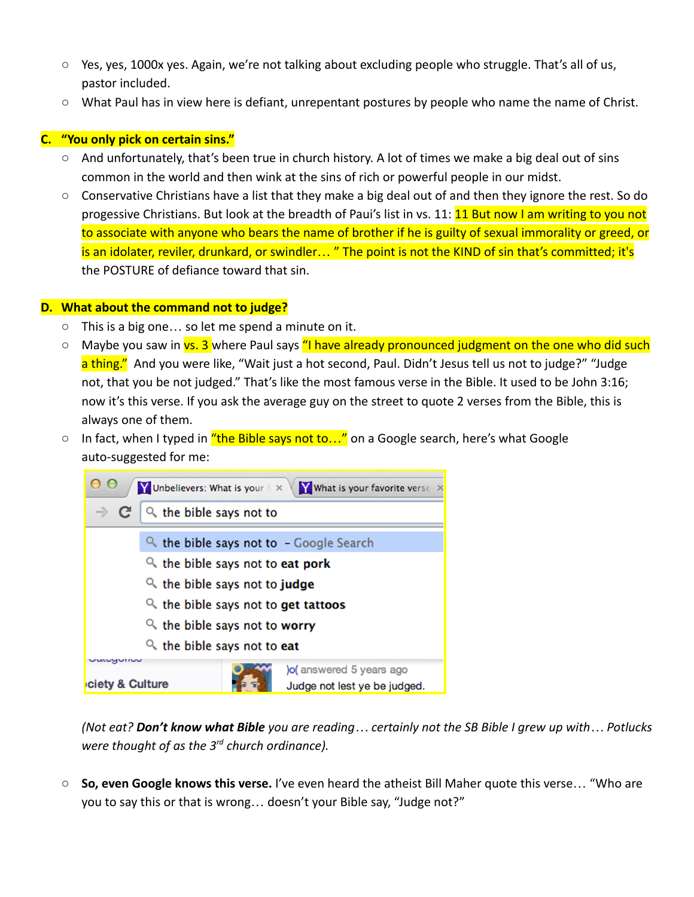- $\circ$  Yes, yes, 1000x yes. Again, we're not talking about excluding people who struggle. That's all of us, pastor included.
- What Paul has in view here is defiant, unrepentant postures by people who name the name of Christ.

## **C. "You only pick on certain sins."**

- And unfortunately, that's been true in church history. A lot of times we make a big deal out of sins common in the world and then wink at the sins of rich or powerful people in our midst.
- Conservative Christians have a list that they make a big deal out of and then they ignore the rest. So do progessive Christians. But look at the breadth of Paui's list in vs. 11: **11 But now I am writing to you not** to associate with anyone who bears the name of brother if he is guilty of sexual immorality or greed, or is an idolater, reviler, drunkard, or swindler... " The point is not the KIND of sin that's committed; it's the POSTURE of defiance toward that sin.

#### **D. What about the command not to judge?**

- This is a big one… so let me spend a minute on it.
- Maybe you saw in vs. 3 where Paul says "I have already pronounced judgment on the one who did such a thing." And you were like, "Wait just a hot second, Paul. Didn't Jesus tell us not to judge?" "Judge not, that you be not judged." That's like the most famous verse in the Bible. It used to be John 3:16; now it's this verse. If you ask the average guy on the street to quote 2 verses from the Bible, this is always one of them.
- $\circ$  In fact, when I typed in  $\frac{u}{b}$  the Bible says not to..." on a Google search, here's what Google auto-suggested for me:



*(Not eat? Don't know what Bible you are reading… certainly not the SB Bible I grew up with… Potlucks were thought of as the 3rd church ordinance).*

○ **So, even Google knows this verse.** I've even heard the atheist Bill Maher quote this verse… "Who are you to say this or that is wrong… doesn't your Bible say, "Judge not?"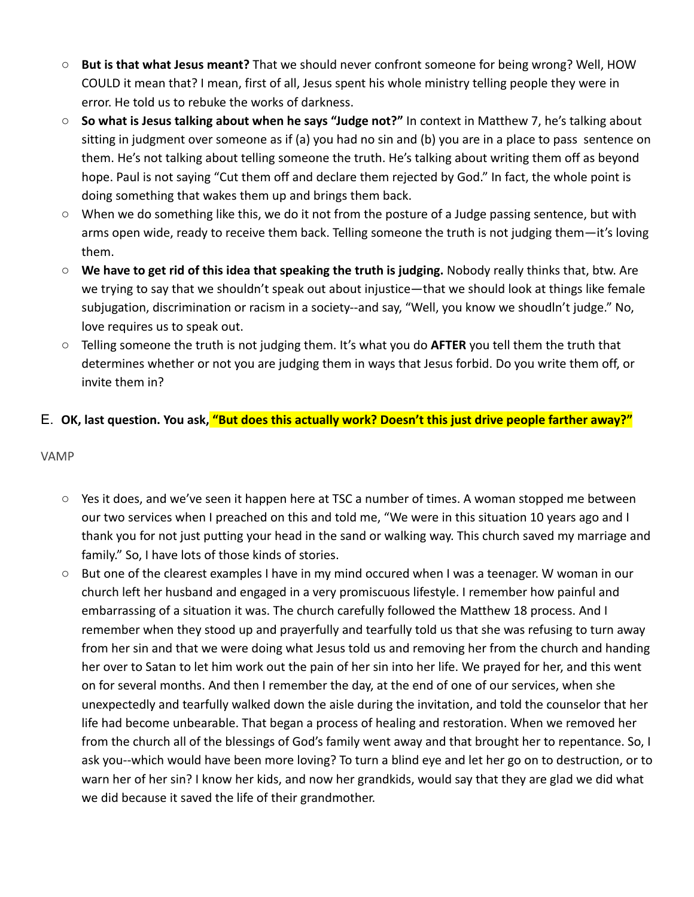- **But is that what Jesus meant?** That we should never confront someone for being wrong? Well, HOW COULD it mean that? I mean, first of all, Jesus spent his whole ministry telling people they were in error. He told us to rebuke the works of darkness.
- **So what is Jesus talking about when he says "Judge not?"** In context in Matthew 7, he's talking about sitting in judgment over someone as if (a) you had no sin and (b) you are in a place to pass sentence on them. He's not talking about telling someone the truth. He's talking about writing them off as beyond hope. Paul is not saying "Cut them off and declare them rejected by God." In fact, the whole point is doing something that wakes them up and brings them back.
- **○** When we do something like this, we do it not from the posture of a Judge passing sentence, but with arms open wide, ready to receive them back. Telling someone the truth is not judging them—it's loving them.
- **○ We have to get rid of this idea that speaking the truth is judging.** Nobody really thinks that, btw. Are we trying to say that we shouldn't speak out about injustice—that we should look at things like female subjugation, discrimination or racism in a society--and say, "Well, you know we shoudln't judge." No, love requires us to speak out.
- **○** Telling someone the truth is not judging them. It's what you do **AFTER** you tell them the truth that determines whether or not you are judging them in ways that Jesus forbid. Do you write them off, or invite them in?

## E. **OK, last question. You ask, "But does this actually work? Doesn't this just drive people farther away?"**

#### VAMP

- Yes it does, and we've seen it happen here at TSC a number of times. A woman stopped me between our two services when I preached on this and told me, "We were in this situation 10 years ago and I thank you for not just putting your head in the sand or walking way. This church saved my marriage and family." So, I have lots of those kinds of stories.
- But one of the clearest examples I have in my mind occured when I was a teenager. W woman in our church left her husband and engaged in a very promiscuous lifestyle. I remember how painful and embarrassing of a situation it was. The church carefully followed the Matthew 18 process. And I remember when they stood up and prayerfully and tearfully told us that she was refusing to turn away from her sin and that we were doing what Jesus told us and removing her from the church and handing her over to Satan to let him work out the pain of her sin into her life. We prayed for her, and this went on for several months. And then I remember the day, at the end of one of our services, when she unexpectedly and tearfully walked down the aisle during the invitation, and told the counselor that her life had become unbearable. That began a process of healing and restoration. When we removed her from the church all of the blessings of God's family went away and that brought her to repentance. So, I ask you--which would have been more loving? To turn a blind eye and let her go on to destruction, or to warn her of her sin? I know her kids, and now her grandkids, would say that they are glad we did what we did because it saved the life of their grandmother.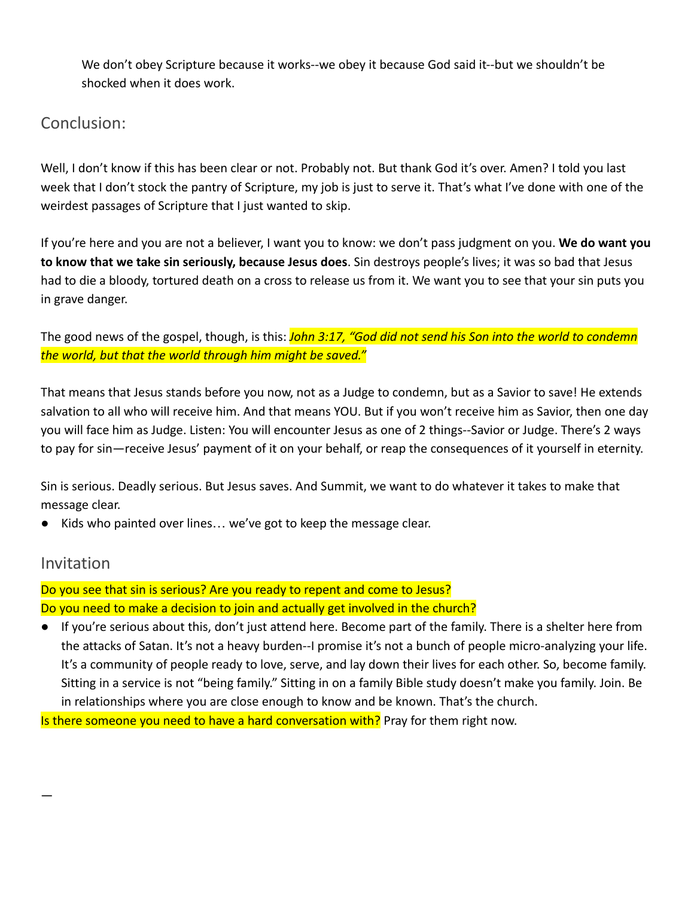We don't obey Scripture because it works--we obey it because God said it--but we shouldn't be shocked when it does work.

# Conclusion:

Well, I don't know if this has been clear or not. Probably not. But thank God it's over. Amen? I told you last week that I don't stock the pantry of Scripture, my job is just to serve it. That's what I've done with one of the weirdest passages of Scripture that I just wanted to skip.

If you're here and you are not a believer, I want you to know: we don't pass judgment on you. **We do want you to know that we take sin seriously, because Jesus does**. Sin destroys people's lives; it was so bad that Jesus had to die a bloody, tortured death on a cross to release us from it. We want you to see that your sin puts you in grave danger.

The good news of the gospel, though, is this: *John 3:17, "God did not send his Son into the world to condemn the world, but that the world through him might be saved."*

That means that Jesus stands before you now, not as a Judge to condemn, but as a Savior to save! He extends salvation to all who will receive him. And that means YOU. But if you won't receive him as Savior, then one day you will face him as Judge. Listen: You will encounter Jesus as one of 2 things--Savior or Judge. There's 2 ways to pay for sin—receive Jesus' payment of it on your behalf, or reap the consequences of it yourself in eternity.

Sin is serious. Deadly serious. But Jesus saves. And Summit, we want to do whatever it takes to make that message clear.

● Kids who painted over lines… we've got to keep the message clear.

## Invitation

—

## Do you see that sin is serious? Are you ready to repent and come to Jesus? Do you need to make a decision to join and actually get involved in the church?

● If you're serious about this, don't just attend here. Become part of the family. There is a shelter here from the attacks of Satan. It's not a heavy burden--I promise it's not a bunch of people micro-analyzing your life. It's a community of people ready to love, serve, and lay down their lives for each other. So, become family. Sitting in a service is not "being family." Sitting in on a family Bible study doesn't make you family. Join. Be in relationships where you are close enough to know and be known. That's the church.

Is there someone you need to have a hard conversation with? Pray for them right now.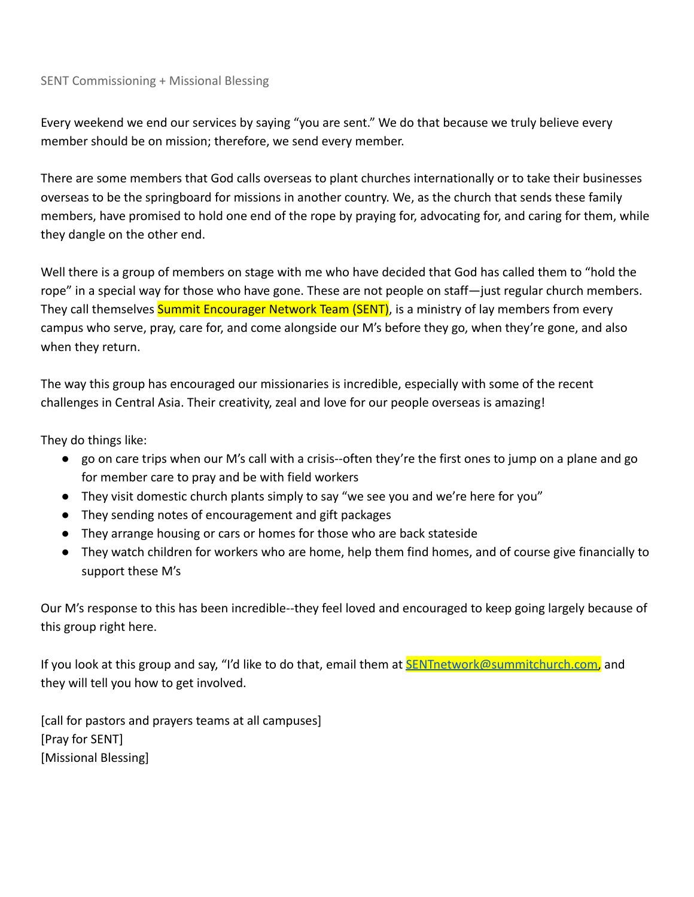#### SENT Commissioning + Missional Blessing

Every weekend we end our services by saying "you are sent." We do that because we truly believe every member should be on mission; therefore, we send every member.

There are some members that God calls overseas to plant churches internationally or to take their businesses overseas to be the springboard for missions in another country. We, as the church that sends these family members, have promised to hold one end of the rope by praying for, advocating for, and caring for them, while they dangle on the other end.

Well there is a group of members on stage with me who have decided that God has called them to "hold the rope" in a special way for those who have gone. These are not people on staff—just regular church members. They call themselves **Summit Encourager Network Team (SENT)**, is a ministry of lay members from every campus who serve, pray, care for, and come alongside our M's before they go, when they're gone, and also when they return.

The way this group has encouraged our missionaries is incredible, especially with some of the recent challenges in Central Asia. Their creativity, zeal and love for our people overseas is amazing!

They do things like:

- go on care trips when our M's call with a crisis--often they're the first ones to jump on a plane and go for member care to pray and be with field workers
- They visit domestic church plants simply to say "we see you and we're here for you"
- They sending notes of encouragement and gift packages
- They arrange housing or cars or homes for those who are back stateside
- They watch children for workers who are home, help them find homes, and of course give financially to support these M's

Our M's response to this has been incredible--they feel loved and encouraged to keep going largely because of this group right here.

If you look at this group and say, "I'd like to do that, email them at **SENTnetwork@summitchurch.com**, and they will tell you how to get involved.

[call for pastors and prayers teams at all campuses] [Pray for SENT] [Missional Blessing]